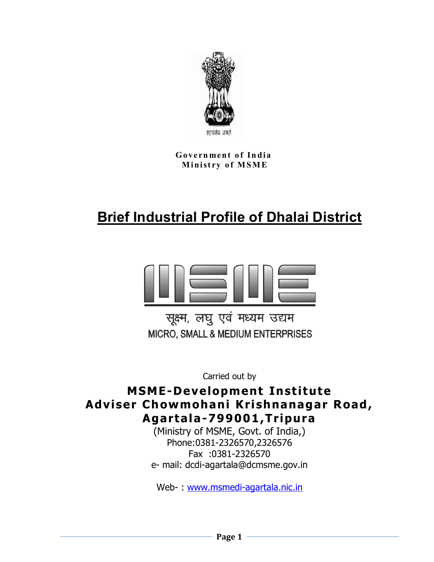

**Government of India M in ist ry o f M S M E**

# **Brief Industrial Profile of Dhalai District**



सूक्ष्म, लघु एवं मध्यम उद्यम MICRO, SMALL & MEDIUM ENTERPRISES

Carried out by

### **MSME-Development Institute Adviser Chowmohani Krishnanagar Road, Agartala-799001,Tripura**

(Ministry of MSME, Govt. of India,) Phone:0381-2326570,2326576 Fax :0381-2326570 e- mail: dcdi-agartala@dcmsme.gov.in

Web- : www.msmedi-agartala.nic.in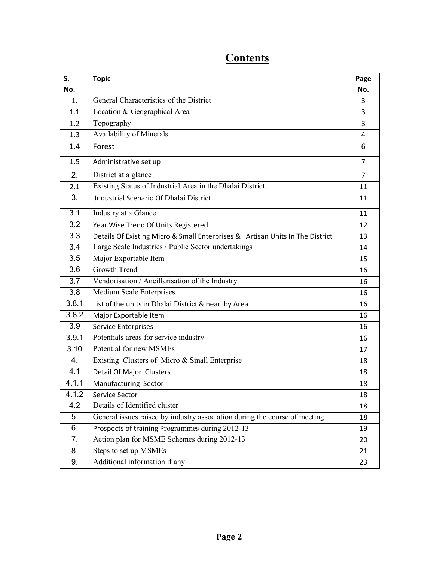| S.    | <b>Topic</b>                                                                  | Page           |
|-------|-------------------------------------------------------------------------------|----------------|
| No.   |                                                                               | No.            |
| 1.    | General Characteristics of the District                                       | 3              |
| 1.1   | Location & Geographical Area                                                  | 3              |
| 1.2   | Topography                                                                    | 3              |
| 1.3   | Availability of Minerals.                                                     | 4              |
| 1.4   | Forest                                                                        | 6              |
| 1.5   | Administrative set up                                                         | $\overline{7}$ |
| 2.    | District at a glance                                                          | $\overline{7}$ |
| 2.1   | Existing Status of Industrial Area in the Dhalai District.                    | 11             |
| 3.    | <b>Industrial Scenario Of Dhalai District</b>                                 | 11             |
| 3.1   | Industry at a Glance                                                          | 11             |
| 3.2   | Year Wise Trend Of Units Registered                                           | 12             |
| 3.3   | Details Of Existing Micro & Small Enterprises & Artisan Units In The District | 13             |
| 3.4   | Large Scale Industries / Public Sector undertakings                           | 14             |
| 3.5   | Major Exportable Item                                                         | 15             |
| 3.6   | <b>Growth Trend</b>                                                           | 16             |
| 3.7   | Vendorisation / Ancillarisation of the Industry                               | 16             |
| 3.8   | Medium Scale Enterprises                                                      | 16             |
| 3.8.1 | List of the units in Dhalai District & near by Area                           | 16             |
| 3.8.2 | Major Exportable Item                                                         | 16             |
| 3.9   | <b>Service Enterprises</b>                                                    | 16             |
| 3.9.1 | Potentials areas for service industry                                         | 16             |
| 3.10  | Potential for new MSMEs                                                       | 17             |
| 4.    | Existing Clusters of Micro & Small Enterprise                                 | 18             |
| 4.1   | Detail Of Major Clusters                                                      | 18             |
| 4.1.1 | Manufacturing Sector                                                          | 18             |
| 4.1.2 | Service Sector                                                                | 18             |
| 4.2   | Details of Identified cluster                                                 | 18             |
| 5.    | General issues raised by industry association during the course of meeting    | 18             |
| 6.    | Prospects of training Programmes during 2012-13                               | 19             |
| 7.    | Action plan for MSME Schemes during 2012-13                                   | 20             |
| 8.    | Steps to set up MSMEs                                                         | 21             |
| 9.    | Additional information if any                                                 | 23             |

## **Contents**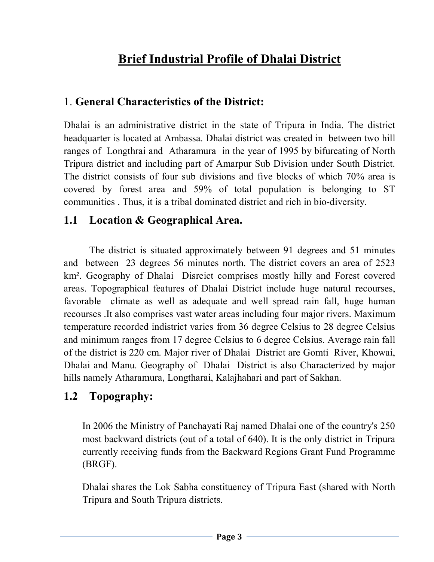## **Brief Industrial Profile of Dhalai District**

### 1. **General Characteristics of the District:**

Dhalai is an administrative district in the state of Tripura in India. The district headquarter is located at Ambassa. Dhalai district was created in between two hill ranges of Longthrai and Atharamura in the year of 1995 by bifurcating of North Tripura district and including part of Amarpur Sub Division under South District. The district consists of four sub divisions and five blocks of which 70% area is covered by forest area and 59% of total population is belonging to ST communities . Thus, it is a tribal dominated district and rich in bio-diversity.

### **1.1 Location & Geographical Area.**

The district is situated approximately between 91 degrees and 51 minutes and between 23 degrees 56 minutes north. The district covers an area of 2523 km². Geography of Dhalai Disreict comprises mostly hilly and Forest covered areas. Topographical features of Dhalai District include huge natural recourses, favorable climate as well as adequate and well spread rain fall, huge human recourses .It also comprises vast water areas including four major rivers. Maximum temperature recorded indistrict varies from 36 degree Celsius to 28 degree Celsius and minimum ranges from 17 degree Celsius to 6 degree Celsius. Average rain fall of the district is 220 cm. Major river of Dhalai District are Gomti River, Khowai, Dhalai and Manu. Geography of Dhalai District is also Characterized by major hills namely Atharamura, Longtharai, Kalajhahari and part of Sakhan.

### **1.2 Topography:**

In 2006 the Ministry of Panchayati Raj named Dhalai one of the country's 250 most backward districts (out of a total of 640). It is the only district in Tripura currently receiving funds from the Backward Regions Grant Fund Programme (BRGF).

Dhalai shares the Lok Sabha constituency of Tripura East (shared with North Tripura and South Tripura districts.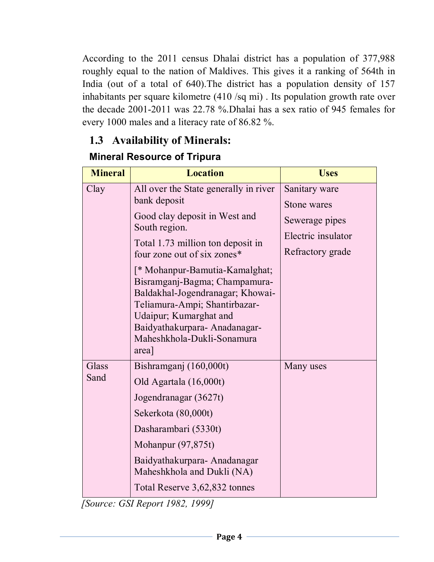According to the 2011 census Dhalai district has a population of 377,988 roughly equal to the nation of Maldives. This gives it a ranking of 564th in India (out of a total of 640).The district has a population density of 157 inhabitants per square kilometre (410 /sq mi) . Its population growth rate over the decade 2001-2011 was 22.78 %.Dhalai has a sex ratio of 945 females for every 1000 males and a literacy rate of 86.82 %.

### **1.3 Availability of Minerals:**

### **Mineral Resource of Tripura**

| <b>Mineral</b> | <b>Location</b>                                                                                                                                                                                                                                                                                                                                    | <b>Uses</b>                                              |
|----------------|----------------------------------------------------------------------------------------------------------------------------------------------------------------------------------------------------------------------------------------------------------------------------------------------------------------------------------------------------|----------------------------------------------------------|
| Clay           | All over the State generally in river<br>bank deposit                                                                                                                                                                                                                                                                                              | Sanitary ware<br>Stone wares                             |
|                | Good clay deposit in West and<br>South region.<br>Total 1.73 million ton deposit in<br>four zone out of six zones*<br>[* Mohanpur-Bamutia-Kamalghat;<br>Bisramganj-Bagma; Champamura-<br>Baldakhal-Jogendranagar; Khowai-<br>Teliamura-Ampi; Shantirbazar-<br>Udaipur; Kumarghat and<br>Baidyathakurpara-Anadanagar-<br>Maheshkhola-Dukli-Sonamura | Sewerage pipes<br>Electric insulator<br>Refractory grade |
| Glass<br>Sand  | area]<br>Bishramganj (160,000t)<br>Old Agartala (16,000t)<br>Jogendranagar (3627t)<br>Sekerkota (80,000t)<br>Dasharambari (5330t)<br>Mohanpur $(97, 875t)$<br>Baidyathakurpara-Anadanagar<br>Maheshkhola and Dukli (NA)<br>Total Reserve 3,62,832 tonnes                                                                                           | Many uses                                                |

 *[Source: GSI Report 1982, 1999]*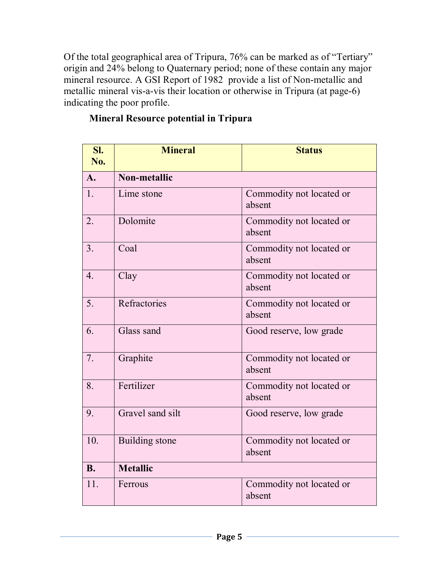Of the total geographical area of Tripura, 76% can be marked as of "Tertiary" origin and 24% belong to Quaternary period; none of these contain any major mineral resource. A GSI Report of 1982 provide a list of Non-metallic and metallic mineral vis-a-vis their location or otherwise in Tripura (at page-6) indicating the poor profile.

|  | <b>Mineral Resource potential in Tripura</b> |  |  |  |
|--|----------------------------------------------|--|--|--|
|--|----------------------------------------------|--|--|--|

| SI.<br><b>No.</b> | <b>Mineral</b>      | <b>Status</b>                      |  |  |
|-------------------|---------------------|------------------------------------|--|--|
| $\mathbf{A}$ .    | <b>Non-metallic</b> |                                    |  |  |
| 1.                | Lime stone          | Commodity not located or<br>absent |  |  |
| 2.                | Dolomite            | Commodity not located or<br>absent |  |  |
| 3.                | Coal                | Commodity not located or<br>absent |  |  |
| $\overline{4}$ .  | Clay                | Commodity not located or<br>absent |  |  |
| 5.                | Refractories        | Commodity not located or<br>absent |  |  |
| 6.                | Glass sand          | Good reserve, low grade            |  |  |
| 7.                | Graphite            | Commodity not located or<br>absent |  |  |
| 8.                | Fertilizer          | Commodity not located or<br>absent |  |  |
| 9.                | Gravel sand silt    | Good reserve, low grade            |  |  |
| 10.               | Building stone      | Commodity not located or<br>absent |  |  |
| <b>B.</b>         | <b>Metallic</b>     |                                    |  |  |
| 11.               | Ferrous             | Commodity not located or<br>absent |  |  |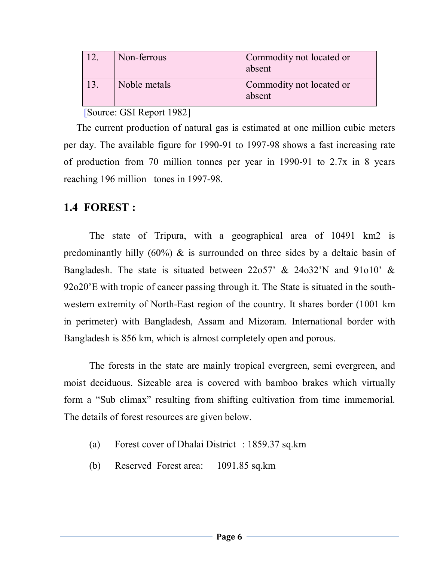| Non-ferrous  | Commodity not located or<br>absent |
|--------------|------------------------------------|
| Noble metals | Commodity not located or<br>absent |

#### [Source: GSI Report 1982]

 The current production of natural gas is estimated at one million cubic meters per day. The available figure for 1990-91 to 1997-98 shows a fast increasing rate of production from 70 million tonnes per year in 1990-91 to 2.7x in 8 years reaching 196 million tones in 1997-98.

### **1.4 FOREST :**

The state of Tripura, with a geographical area of 10491 km2 is predominantly hilly  $(60\%)$  & is surrounded on three sides by a deltaic basin of Bangladesh. The state is situated between 22o57' & 24o32'N and 91o10' & 92o20'E with tropic of cancer passing through it. The State is situated in the southwestern extremity of North-East region of the country. It shares border (1001 km in perimeter) with Bangladesh, Assam and Mizoram. International border with Bangladesh is 856 km, which is almost completely open and porous.

The forests in the state are mainly tropical evergreen, semi evergreen, and moist deciduous. Sizeable area is covered with bamboo brakes which virtually form a "Sub climax" resulting from shifting cultivation from time immemorial. The details of forest resources are given below.

- (a) Forest cover of Dhalai District : 1859.37 sq.km
- (b) Reserved Forest area: 1091.85 sq.km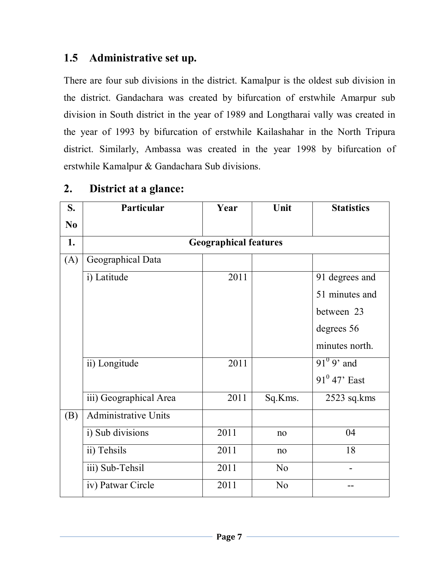### **1.5 Administrative set up.**

There are four sub divisions in the district. Kamalpur is the oldest sub division in the district. Gandachara was created by bifurcation of erstwhile Amarpur sub division in South district in the year of 1989 and Longtharai vally was created in the year of 1993 by bifurcation of erstwhile Kailashahar in the North Tripura district. Similarly, Ambassa was created in the year 1998 by bifurcation of erstwhile Kamalpur & Gandachara Sub divisions.

| S.             | Particular                  | Year                         | Unit           | <b>Statistics</b>   |
|----------------|-----------------------------|------------------------------|----------------|---------------------|
| N <sub>0</sub> |                             |                              |                |                     |
| 1.             |                             | <b>Geographical features</b> |                |                     |
| (A)            | Geographical Data           |                              |                |                     |
|                | i) Latitude                 | 2011                         |                | 91 degrees and      |
|                |                             |                              |                | 51 minutes and      |
|                |                             |                              |                | between 23          |
|                |                             |                              |                | degrees 56          |
|                |                             |                              |                | minutes north.      |
|                | ii) Longitude               | 2011                         |                | $91^{\circ}$ 9' and |
|                |                             |                              |                | $91^0$ 47' East     |
|                | iii) Geographical Area      | 2011                         | Sq.Kms.        | $2523$ sq.kms       |
| (B)            | <b>Administrative Units</b> |                              |                |                     |
|                | i) Sub divisions            | 2011                         | no             | 04                  |
|                | ii) Tehsils                 | 2011                         | no             | 18                  |
|                | iii) Sub-Tehsil             | 2011                         | N <sub>0</sub> |                     |
|                | iv) Patwar Circle           | 2011                         | N <sub>o</sub> |                     |

### **2. District at a glance:**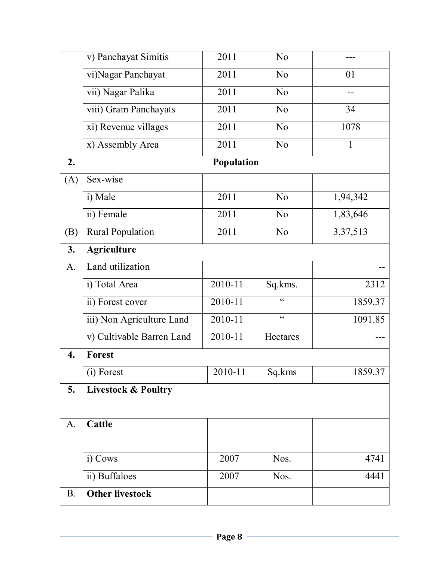|             | v) Panchayat Simitis           | 2011       | N <sub>0</sub>  |              |  |  |
|-------------|--------------------------------|------------|-----------------|--------------|--|--|
|             | vi)Nagar Panchayat             | 2011       | N <sub>0</sub>  | 01           |  |  |
|             | vii) Nagar Palika              | 2011       | N <sub>o</sub>  |              |  |  |
|             | viii) Gram Panchayats          | 2011       | N <sub>o</sub>  | 34           |  |  |
|             | xi) Revenue villages           | 2011       | N <sub>o</sub>  | 1078         |  |  |
|             | x) Assembly Area               | 2011       | N <sub>0</sub>  | $\mathbf{1}$ |  |  |
| 2.          |                                | Population |                 |              |  |  |
| (A)         | Sex-wise                       |            |                 |              |  |  |
|             | i) Male                        | 2011       | N <sub>0</sub>  | 1,94,342     |  |  |
|             | ii) Female                     | 2011       | N <sub>o</sub>  | 1,83,646     |  |  |
| (B)         | <b>Rural Population</b>        | 2011       | N <sub>0</sub>  | 3, 37, 513   |  |  |
| 3.          | <b>Agriculture</b>             |            |                 |              |  |  |
| A.          | Land utilization               |            |                 |              |  |  |
|             | i) Total Area                  | 2010-11    | Sq.kms.         | 2312         |  |  |
|             | ii) Forest cover               | 2010-11    | $\epsilon$      | 1859.37      |  |  |
|             | iii) Non Agriculture Land      | 2010-11    | $\zeta$ $\zeta$ | 1091.85      |  |  |
|             | v) Cultivable Barren Land      | 2010-11    | Hectares        |              |  |  |
| 4.          | Forest                         |            |                 |              |  |  |
|             | (i) Forest                     | 2010-11    | Sq.kms          | 1859.37      |  |  |
| 5.          | <b>Livestock &amp; Poultry</b> |            |                 |              |  |  |
|             |                                |            |                 |              |  |  |
| $A_{\cdot}$ | <b>Cattle</b>                  |            |                 |              |  |  |
|             |                                |            |                 |              |  |  |
|             | i) Cows                        | 2007       | Nos.            | 4741         |  |  |
|             | ii) Buffaloes                  | 2007       | Nos.            | 4441         |  |  |
| <b>B.</b>   | <b>Other livestock</b>         |            |                 |              |  |  |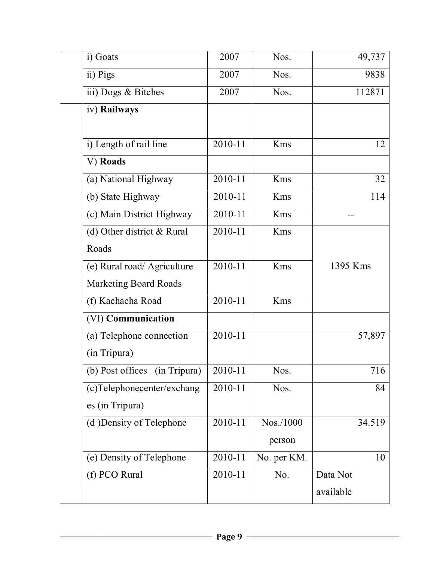| i) Goats                      | 2007        | Nos.        | 49,737    |
|-------------------------------|-------------|-------------|-----------|
| ii) Pigs                      | 2007        | Nos.        | 9838      |
| iii) Dogs & Bitches           | 2007        | Nos.        | 112871    |
| iv) Railways                  |             |             |           |
|                               |             |             |           |
| i) Length of rail line        | 2010-11     | Kms         | 12        |
| V) Roads                      |             |             |           |
| (a) National Highway          | 2010-11     | Kms         | 32        |
| (b) State Highway             | 2010-11     | Kms         | 114       |
| (c) Main District Highway     | 2010-11     | Kms         |           |
| (d) Other district & Rural    | $2010 - 11$ | Kms         |           |
| Roads                         |             |             |           |
| (e) Rural road/ Agriculture   | 2010-11     | Kms         | 1395 Kms  |
| <b>Marketing Board Roads</b>  |             |             |           |
| (f) Kachacha Road             | 2010-11     | Kms         |           |
| (VI) Communication            |             |             |           |
| (a) Telephone connection      | 2010-11     |             | 57,897    |
| (in Tripura)                  |             |             |           |
| (b) Post offices (in Tripura) | 2010-11     | Nos.        | 716       |
| (c)Telephonecenter/exchang    | 2010-11     | Nos.        | 84        |
| es (in Tripura)               |             |             |           |
| (d) Density of Telephone      | 2010-11     | Nos./1000   | 34.519    |
|                               |             | person      |           |
| (e) Density of Telephone      | 2010-11     | No. per KM. | 10        |
| (f) PCO Rural                 | 2010-11     | No.         | Data Not  |
|                               |             |             | available |
|                               |             |             |           |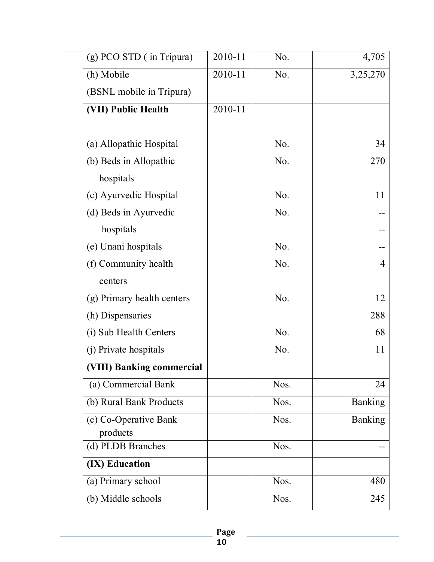| (g) PCO STD (in Tripura)   | 2010-11 | No.              | 4,705          |
|----------------------------|---------|------------------|----------------|
| (h) Mobile                 | 2010-11 | No.              | 3,25,270       |
| (BSNL mobile in Tripura)   |         |                  |                |
| (VII) Public Health        | 2010-11 |                  |                |
|                            |         |                  |                |
| (a) Allopathic Hospital    |         | No.              | 34             |
| (b) Beds in Allopathic     |         | No.              | 270            |
| hospitals                  |         |                  |                |
| (c) Ayurvedic Hospital     |         | No.              | 11             |
| (d) Beds in Ayurvedic      |         | N <sub>0</sub> . |                |
| hospitals                  |         |                  |                |
| (e) Unani hospitals        |         | No.              |                |
| (f) Community health       |         | No.              | 4              |
| centers                    |         |                  |                |
| (g) Primary health centers |         | No.              | 12             |
| (h) Dispensaries           |         |                  | 288            |
| (i) Sub Health Centers     |         | No.              | 68             |
| (j) Private hospitals      |         | No.              | 11             |
| (VIII) Banking commercial  |         |                  |                |
| (a) Commercial Bank        |         | Nos.             | 24             |
| (b) Rural Bank Products    |         | Nos.             | Banking        |
| (c) Co-Operative Bank      |         | Nos.             | <b>Banking</b> |
| products                   |         |                  |                |
| (d) PLDB Branches          |         | Nos.             |                |
| (IX) Education             |         |                  |                |
| (a) Primary school         |         | Nos.             | 480            |
| (b) Middle schools         |         | Nos.             | 245            |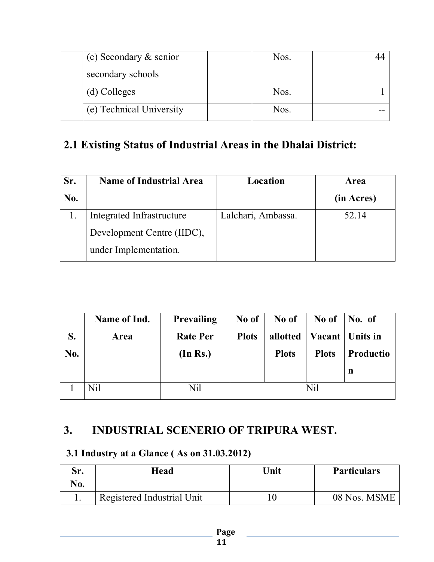| (c) Secondary $&$ senior | Nos. |  |
|--------------------------|------|--|
| secondary schools        |      |  |
| (d) Colleges             | Nos. |  |
| (e) Technical University | Nos. |  |

### **2.1 Existing Status of Industrial Areas in the Dhalai District:**

| Sr. | <b>Name of Industrial Area</b> | Location           | Area       |
|-----|--------------------------------|--------------------|------------|
| No. |                                |                    | (in Acres) |
|     | Integrated Infrastructure      | Lalchari, Ambassa. | 52.14      |
|     | Development Centre (IIDC),     |                    |            |
|     | under Implementation.          |                    |            |

|     | Name of Ind. | <b>Prevailing</b> | No of        | No of        | No of        | No. of    |
|-----|--------------|-------------------|--------------|--------------|--------------|-----------|
| S.  | <b>Area</b>  | <b>Rate Per</b>   | <b>Plots</b> | allotted     | Vacant       | Units in  |
| No. |              | (In Rs.)          |              | <b>Plots</b> | <b>Plots</b> | Productio |
|     |              |                   |              |              |              | n         |
|     | Nil          | Nil               | Nil          |              |              |           |

### **3. INDUSTRIAL SCENERIO OF TRIPURA WEST.**

### **3.1 Industry at a Glance ( As on 31.03.2012)**

| Sr. | Head                       | Unit | <b>Particulars</b> |
|-----|----------------------------|------|--------------------|
| No. |                            |      |                    |
|     | Registered Industrial Unit |      | 08 Nos. MSME       |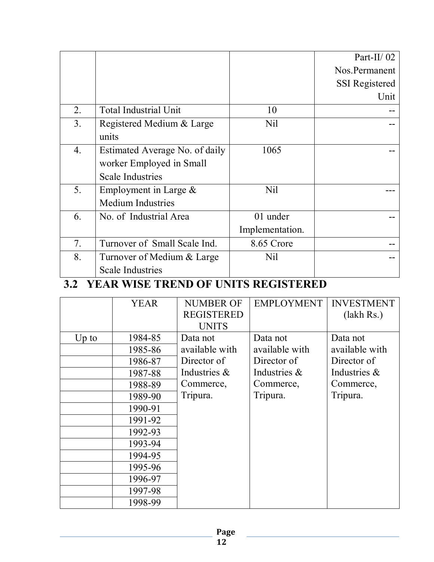|                |                                |                 | Part-II/ $02$         |
|----------------|--------------------------------|-----------------|-----------------------|
|                |                                |                 | Nos.Permanent         |
|                |                                |                 | <b>SSI</b> Registered |
|                |                                |                 | Unit                  |
| 2.             | <b>Total Industrial Unit</b>   | 10              |                       |
| 3 <sub>1</sub> | Registered Medium & Large      | Nil             |                       |
|                | units                          |                 |                       |
| 4.             | Estimated Average No. of daily | 1065            |                       |
|                | worker Employed in Small       |                 |                       |
|                | <b>Scale Industries</b>        |                 |                       |
| 5.             | Employment in Large $\&$       | <b>Nil</b>      |                       |
|                | <b>Medium Industries</b>       |                 |                       |
| 6.             | No. of Industrial Area         | 01 under        |                       |
|                |                                | Implementation. |                       |
| 7.             | Turnover of Small Scale Ind.   | 8.65 Crore      |                       |
| 8.             | Turnover of Medium & Large     | Nil             |                       |
|                | <b>Scale Industries</b>        |                 |                       |

### **3.2 YEAR WISE TREND OF UNITS REGISTERED**

|       | <b>YEAR</b> | <b>NUMBER OF</b>  | <b>EMPLOYMENT</b> | <b>INVESTMENT</b> |
|-------|-------------|-------------------|-------------------|-------------------|
|       |             | <b>REGISTERED</b> |                   | (lakh Rs.)        |
|       |             | <b>UNITS</b>      |                   |                   |
| Up to | 1984-85     | Data not          | Data not          | Data not          |
|       | 1985-86     | available with    | available with    | available with    |
|       | 1986-87     | Director of       | Director of       | Director of       |
|       | 1987-88     | Industries &      | Industries $\&$   | Industries $\&$   |
|       | 1988-89     | Commerce,         | Commerce,         | Commerce,         |
|       | 1989-90     | Tripura.          | Tripura.          | Tripura.          |
|       | 1990-91     |                   |                   |                   |
|       | 1991-92     |                   |                   |                   |
|       | 1992-93     |                   |                   |                   |
|       | 1993-94     |                   |                   |                   |
|       | 1994-95     |                   |                   |                   |
|       | 1995-96     |                   |                   |                   |
|       | 1996-97     |                   |                   |                   |
|       | 1997-98     |                   |                   |                   |
|       | 1998-99     |                   |                   |                   |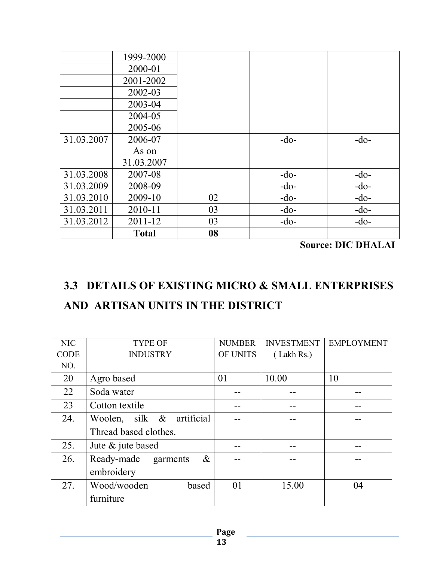|            | 1999-2000    |    |        |        |
|------------|--------------|----|--------|--------|
|            | 2000-01      |    |        |        |
|            | 2001-2002    |    |        |        |
|            | 2002-03      |    |        |        |
|            | 2003-04      |    |        |        |
|            | 2004-05      |    |        |        |
|            | 2005-06      |    |        |        |
| 31.03.2007 | 2006-07      |    | $-do-$ | $-do-$ |
|            | As on        |    |        |        |
|            | 31.03.2007   |    |        |        |
| 31.03.2008 | 2007-08      |    | $-do-$ | $-do-$ |
| 31.03.2009 | 2008-09      |    | $-do-$ | $-do-$ |
| 31.03.2010 | 2009-10      | 02 | $-do-$ | $-do-$ |
| 31.03.2011 | 2010-11      | 03 | $-do-$ | $-do-$ |
| 31.03.2012 | 2011-12      | 03 | $-do-$ | $-do-$ |
|            | <b>Total</b> | 08 |        |        |

**Source: DIC DHALAI**

# **3.3 DETAILS OF EXISTING MICRO & SMALL ENTERPRISES AND ARTISAN UNITS IN THE DISTRICT**

| <b>NIC</b>  | <b>TYPE OF</b>                 | <b>NUMBER</b> | <b>INVESTMENT</b> | <b>EMPLOYMENT</b> |
|-------------|--------------------------------|---------------|-------------------|-------------------|
| <b>CODE</b> | <b>INDUSTRY</b>                | OF UNITS      | (Lakh Rs.)        |                   |
| NO.         |                                |               |                   |                   |
| 20          | Agro based                     | 01            | 10.00             | 10                |
| 22          | Soda water                     |               |                   |                   |
| 23          | Cotton textile                 |               |                   |                   |
| 24.         | Woolen, silk & artificial      |               |                   |                   |
|             | Thread based clothes.          |               |                   |                   |
| 25.         | Jute $\&$ jute based           |               |                   |                   |
| 26.         | Ready-made<br>$\&$<br>garments |               |                   |                   |
|             | embroidery                     |               |                   |                   |
| 27.         | Wood/wooden<br>based           | 01            | 15.00             | 04                |
|             | furniture                      |               |                   |                   |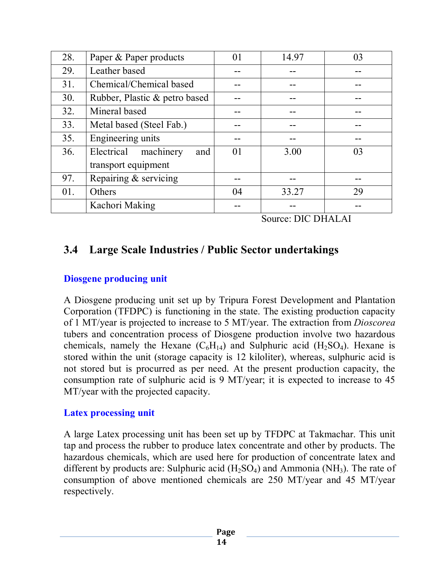| 28. | Paper & Paper products         | 0 <sub>1</sub> | 14.97 | 03 |
|-----|--------------------------------|----------------|-------|----|
| 29. | Leather based                  |                |       |    |
| 31. | Chemical/Chemical based        |                |       |    |
| 30. | Rubber, Plastic & petro based  |                |       |    |
| 32. | Mineral based                  |                |       |    |
| 33. | Metal based (Steel Fab.)       |                |       |    |
| 35. | Engineering units              |                |       |    |
| 36. | machinery<br>Electrical<br>and | 01             | 3.00  | 03 |
|     | transport equipment            |                |       |    |
| 97. | Repairing & servicing          |                |       |    |
| 01. | Others                         | 04             | 33.27 | 29 |
|     | Kachori Making                 |                |       |    |

Source: DIC DHALAI

### **3.4 Large Scale Industries / Public Sector undertakings**

#### **Diosgene producing unit**

A Diosgene producing unit set up by Tripura Forest Development and Plantation Corporation (TFDPC) is functioning in the state. The existing production capacity of 1 MT/year is projected to increase to 5 MT/year. The extraction from *Dioscorea* tubers and concentration process of Diosgene production involve two hazardous chemicals, namely the Hexane  $(C_6H_{14})$  and Sulphuric acid  $(H_2SO_4)$ . Hexane is stored within the unit (storage capacity is 12 kiloliter), whereas, sulphuric acid is not stored but is procurred as per need. At the present production capacity, the consumption rate of sulphuric acid is 9 MT/year; it is expected to increase to 45 MT/year with the projected capacity.

#### **Latex processing unit**

A large Latex processing unit has been set up by TFDPC at Takmachar. This unit tap and process the rubber to produce latex concentrate and other by products. The hazardous chemicals, which are used here for production of concentrate latex and different by products are: Sulphuric acid  $(H_2SO_4)$  and Ammonia (NH<sub>3</sub>). The rate of consumption of above mentioned chemicals are 250 MT/year and 45 MT/year respectively.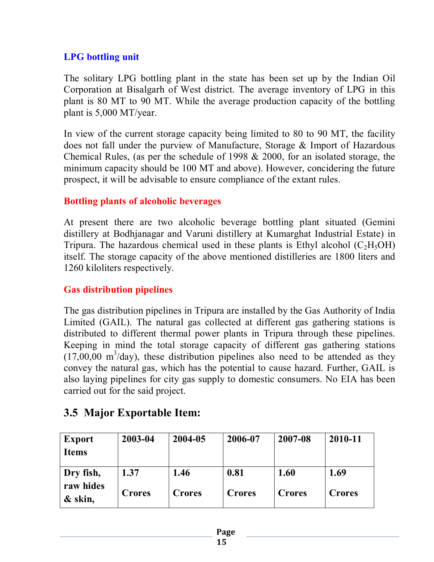#### **LPG bottling unit**

The solitary LPG bottling plant in the state has been set up by the Indian Oil Corporation at Bisalgarh of West district. The average inventory of LPG in this plant is 80 MT to 90 MT. While the average production capacity of the bottling plant is 5,000 MT/year.

In view of the current storage capacity being limited to 80 to 90 MT, the facility does not fall under the purview of Manufacture, Storage & Import of Hazardous Chemical Rules, (as per the schedule of 1998 & 2000, for an isolated storage, the minimum capacity should be 100 MT and above). However, concidering the future prospect, it will be advisable to ensure compliance of the extant rules.

#### **Bottling plants of alcoholic beverages**

At present there are two alcoholic beverage bottling plant situated (Gemini distillery at Bodhjanagar and Varuni distillery at Kumarghat Industrial Estate) in Tripura. The hazardous chemical used in these plants is Ethyl alcohol  $(C_2H_5OH)$ itself. The storage capacity of the above mentioned distilleries are 1800 liters and 1260 kiloliters respectively.

#### **Gas distribution pipelines**

The gas distribution pipelines in Tripura are installed by the Gas Authority of India Limited (GAIL). The natural gas collected at different gas gathering stations is distributed to different thermal power plants in Tripura through these pipelines. Keeping in mind the total storage capacity of different gas gathering stations  $(17,00,00 \text{ m}^3/\text{day})$ , these distribution pipelines also need to be attended as they convey the natural gas, which has the potential to cause hazard. Further, GAIL is also laying pipelines for city gas supply to domestic consumers. No EIA has been carried out for the said project.

### **3.5 Major Exportable Item:**

| <b>Export</b><br><b>Items</b> | 2003-04       | 2004-05       | 2006-07       | 2007-08       | 2010-11       |
|-------------------------------|---------------|---------------|---------------|---------------|---------------|
| Dry fish,                     | 1.37          | 1.46          | 0.81          | 1.60          | 1.69          |
| raw hides<br>& skin,          | <b>Crores</b> | <b>Crores</b> | <b>Crores</b> | <b>Crores</b> | <b>Crores</b> |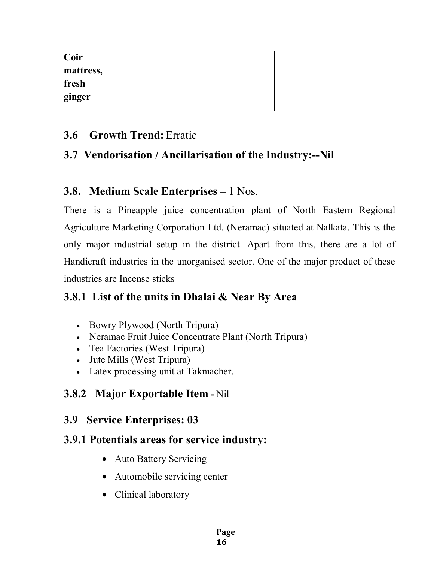| <b>Coir</b> |  |  |  |
|-------------|--|--|--|
| mattress,   |  |  |  |
| fresh       |  |  |  |
| ginger      |  |  |  |
|             |  |  |  |

### **3.6 Growth Trend:** Erratic

### **3.7 Vendorisation / Ancillarisation of the Industry:--Nil**

### **3.8. Medium Scale Enterprises –** 1 Nos.

There is a Pineapple juice concentration plant of North Eastern Regional Agriculture Marketing Corporation Ltd. (Neramac) situated at Nalkata. This is the only major industrial setup in the district. Apart from this, there are a lot of Handicraft industries in the unorganised sector. One of the major product of these industries are Incense sticks

### **3.8.1 List of the units in Dhalai & Near By Area**

- Bowry Plywood (North Tripura)
- Neramac Fruit Juice Concentrate Plant (North Tripura)
- Tea Factories (West Tripura)
- Jute Mills (West Tripura)
- Latex processing unit at Takmacher.

### **3.8.2 Major Exportable Item -** Nil

### **3.9 Service Enterprises: 03**

### **3.9.1 Potentials areas for service industry:**

- Auto Battery Servicing
- Automobile servicing center
- Clinical laboratory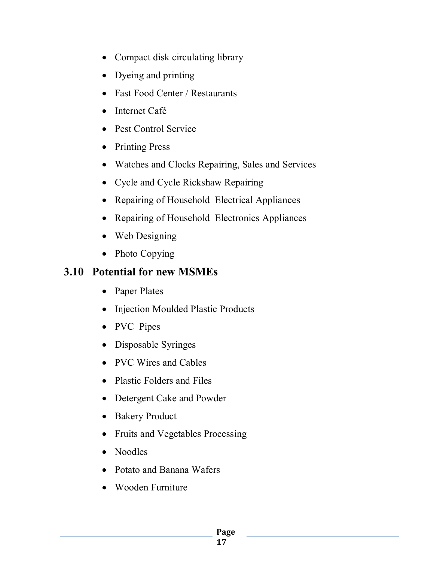- Compact disk circulating library
- Dyeing and printing
- Fast Food Center / Restaurants
- Internet Café
- Pest Control Service
- Printing Press
- Watches and Clocks Repairing, Sales and Services
- Cycle and Cycle Rickshaw Repairing
- Repairing of Household Electrical Appliances
- Repairing of Household Electronics Appliances
- Web Designing
- Photo Copying

### **3.10 Potential for new MSMEs**

- Paper Plates
- Injection Moulded Plastic Products
- PVC Pipes
- Disposable Syringes
- PVC Wires and Cables
- Plastic Folders and Files
- Detergent Cake and Powder
- Bakery Product
- Fruits and Vegetables Processing
- Noodles
- Potato and Banana Wafers
- Wooden Furniture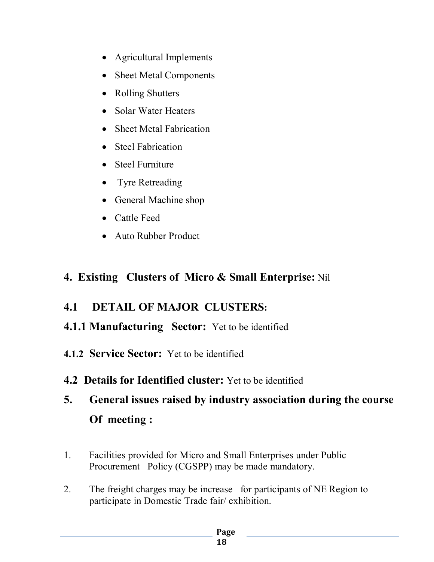- Agricultural Implements
- Sheet Metal Components
- Rolling Shutters
- Solar Water Heaters
- Sheet Metal Fabrication
- Steel Fabrication
- Steel Furniture
- Tyre Retreading
- General Machine shop
- Cattle Feed
- Auto Rubber Product

### **4. Existing Clusters of Micro & Small Enterprise:** Nil

### **4.1 DETAIL OF MAJOR CLUSTERS:**

- **4.1.1 Manufacturing Sector:** Yet to be identified
- **4.1.2 Service Sector:** Yet to be identified
- **4.2 Details for Identified cluster:** Yet to be identified
- **5. General issues raised by industry association during the course Of meeting :**
- 1. Facilities provided for Micro and Small Enterprises under Public Procurement Policy (CGSPP) may be made mandatory.
- 2. The freight charges may be increase for participants of NE Region to participate in Domestic Trade fair/ exhibition.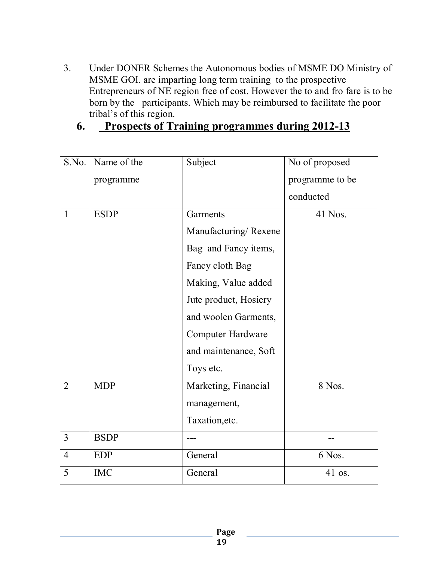- 3. Under DONER Schemes the Autonomous bodies of MSME DO Ministry of MSME GOI. are imparting long term training to the prospective Entrepreneurs of NE region free of cost. However the to and fro fare is to be born by the participants. Which may be reimbursed to facilitate the poor tribal's of this region.
	- **6. Prospects of Training programmes during 2012-13**

| S.No.          | Name of the | Subject                  | No of proposed  |
|----------------|-------------|--------------------------|-----------------|
|                | programme   |                          | programme to be |
|                |             |                          | conducted       |
| $\mathbf{1}$   | <b>ESDP</b> | Garments                 | 41 Nos.         |
|                |             | Manufacturing/Rexene     |                 |
|                |             | Bag and Fancy items,     |                 |
|                |             | Fancy cloth Bag          |                 |
|                |             | Making, Value added      |                 |
|                |             | Jute product, Hosiery    |                 |
|                |             | and woolen Garments,     |                 |
|                |             | <b>Computer Hardware</b> |                 |
|                |             | and maintenance, Soft    |                 |
|                |             | Toys etc.                |                 |
| $\overline{2}$ | <b>MDP</b>  | Marketing, Financial     | 8 Nos.          |
|                |             | management,              |                 |
|                |             | Taxation, etc.           |                 |
| $\overline{3}$ | <b>BSDP</b> |                          |                 |
| $\overline{4}$ | <b>EDP</b>  | General                  | 6 Nos.          |
| 5              | <b>IMC</b>  | General                  | 41 os.          |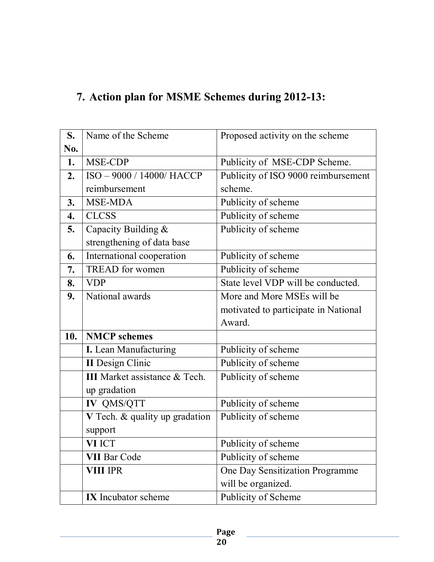# **7. Action plan for MSME Schemes during 2012-13:**

| S.  | Name of the Scheme                   | Proposed activity on the scheme      |
|-----|--------------------------------------|--------------------------------------|
| No. |                                      |                                      |
| 1.  | MSE-CDP                              | Publicity of MSE-CDP Scheme.         |
| 2.  | ISO - 9000 / 14000/ HACCP            | Publicity of ISO 9000 reimbursement  |
|     | reimbursement                        | scheme.                              |
| 3.  | MSE-MDA                              | Publicity of scheme                  |
| 4.  | <b>CLCSS</b>                         | Publicity of scheme                  |
| 5.  | Capacity Building &                  | Publicity of scheme                  |
|     | strengthening of data base           |                                      |
| 6.  | International cooperation            | Publicity of scheme                  |
| 7.  | <b>TREAD</b> for women               | Publicity of scheme                  |
| 8.  | <b>VDP</b>                           | State level VDP will be conducted.   |
| 9.  | National awards                      | More and More MSEs will be           |
|     |                                      | motivated to participate in National |
|     |                                      | Award.                               |
| 10. | <b>NMCP</b> schemes                  |                                      |
|     | I. Lean Manufacturing                | Publicity of scheme                  |
|     |                                      |                                      |
|     | <b>II</b> Design Clinic              | Publicity of scheme                  |
|     | <b>III</b> Market assistance & Tech. | Publicity of scheme                  |
|     | up gradation                         |                                      |
|     | <b>IV QMS/QTT</b>                    | Publicity of scheme                  |
|     | V Tech. & quality up gradation       | Publicity of scheme                  |
|     | support                              |                                      |
|     | VI ICT                               | Publicity of scheme                  |
|     | <b>VII Bar Code</b>                  | Publicity of scheme                  |
|     | <b>VIII IPR</b>                      | One Day Sensitization Programme      |
|     |                                      | will be organized.                   |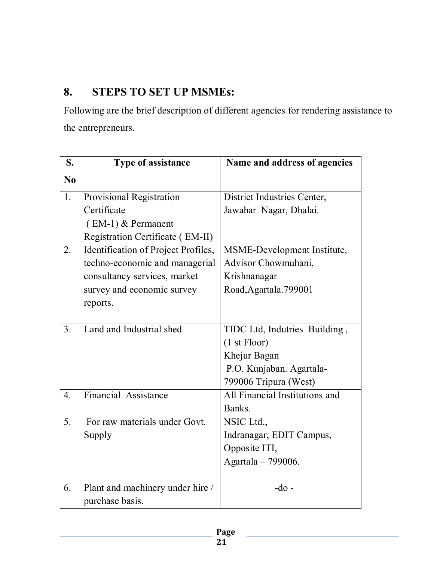### **8. STEPS TO SET UP MSMEs:**

Following are the brief description of different agencies for rendering assistance to the entrepreneurs.

| S.               | Type of assistance                  | Name and address of agencies   |
|------------------|-------------------------------------|--------------------------------|
| No               |                                     |                                |
| 1.               | Provisional Registration            | District Industries Center,    |
|                  | Certificate                         | Jawahar Nagar, Dhalai.         |
|                  | $(EM-1)$ & Permanent                |                                |
|                  | Registration Certificate (EM-II)    |                                |
| 2.               | Identification of Project Profiles, | MSME-Development Institute,    |
|                  | techno-economic and managerial      | Advisor Chowmuhani,            |
|                  | consultancy services, market        | Krishnanagar                   |
|                  | survey and economic survey          | Road, Agartala. 799001         |
|                  | reports.                            |                                |
|                  |                                     |                                |
| 3 <sub>1</sub>   | Land and Industrial shed            | TIDC Ltd, Indutries Building,  |
|                  |                                     | (1 <sub>st</sub> Floor)        |
|                  |                                     | Khejur Bagan                   |
|                  |                                     | P.O. Kunjaban. Agartala-       |
|                  |                                     | 799006 Tripura (West)          |
| $\overline{4}$ . | <b>Financial Assistance</b>         | All Financial Institutions and |
|                  |                                     | Banks.                         |
| 5.               | For raw materials under Govt.       | NSIC Ltd.,                     |
|                  | Supply                              | Indranagar, EDIT Campus,       |
|                  |                                     | Opposite ITI,                  |
|                  |                                     | Agartala - 799006.             |
|                  |                                     |                                |
| 6.               | Plant and machinery under hire /    | $-do$ -                        |
|                  | purchase basis.                     |                                |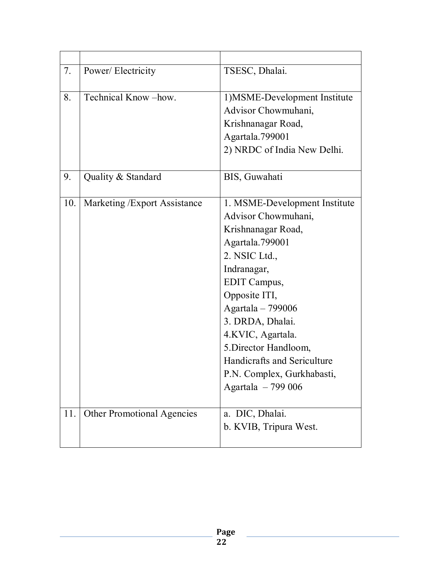| 7.  | Power/Electricity                 | TSESC, Dhalai.                                       |
|-----|-----------------------------------|------------------------------------------------------|
| 8.  | Technical Know-how.               | 1) MSME-Development Institute<br>Advisor Chowmuhani, |
|     |                                   | Krishnanagar Road,<br>Agartala.799001                |
|     |                                   | 2) NRDC of India New Delhi.                          |
| 9.  | Quality & Standard                | BIS, Guwahati                                        |
| 10. | Marketing / Export Assistance     | 1. MSME-Development Institute                        |
|     |                                   | Advisor Chowmuhani,                                  |
|     |                                   | Krishnanagar Road,                                   |
|     |                                   | Agartala.799001                                      |
|     |                                   | 2. NSIC Ltd.,                                        |
|     |                                   | Indranagar,                                          |
|     |                                   | EDIT Campus,                                         |
|     |                                   | Opposite ITI,                                        |
|     |                                   | Agartala - 799006                                    |
|     |                                   | 3. DRDA, Dhalai.                                     |
|     |                                   | 4.KVIC, Agartala.                                    |
|     |                                   | 5. Director Handloom,                                |
|     |                                   | <b>Handicrafts and Sericulture</b>                   |
|     |                                   | P.N. Complex, Gurkhabasti,                           |
|     |                                   | Agartala - 799 006                                   |
| 11. | <b>Other Promotional Agencies</b> | a. DIC, Dhalai.                                      |
|     |                                   | b. KVIB, Tripura West.                               |